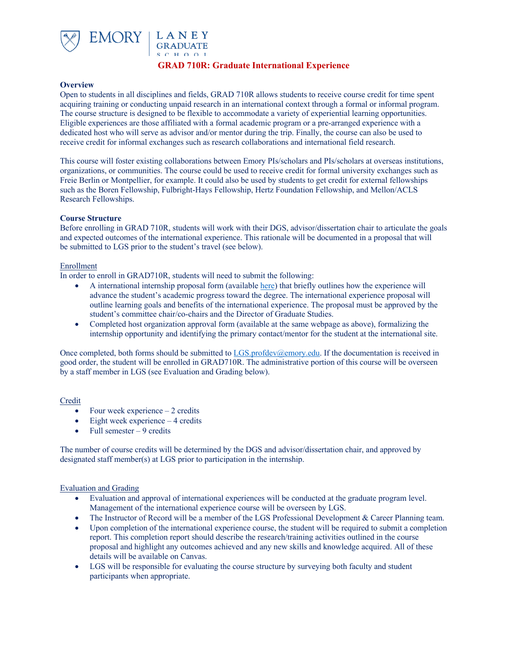

# **GRAD 710R: Graduate International Experience**

### **Overview**

Open to students in all disciplines and fields, GRAD 710R allows students to receive course credit for time spent acquiring training or conducting unpaid research in an international context through a formal or informal program. The course structure is designed to be flexible to accommodate a variety of experiential learning opportunities. Eligible experiences are those affiliated with a formal academic program or a pre-arranged experience with a dedicated host who will serve as advisor and/or mentor during the trip. Finally, the course can also be used to receive credit for informal exchanges such as research collaborations and international field research.

This course will foster existing collaborations between Emory PIs/scholars and PIs/scholars at overseas institutions, organizations, or communities. The course could be used to receive credit for formal university exchanges such as Freie Berlin or Montpellier, for example. It could also be used by students to get credit for external fellowships such as the Boren Fellowship, Fulbright-Hays Fellowship, Hertz Foundation Fellowship, and Mellon/ACLS Research Fellowships.

### **Course Structure**

Before enrolling in GRAD 710R, students will work with their DGS, advisor/dissertation chair to articulate the goals and expected outcomes of the international experience. This rationale will be documented in a proposal that will be submitted to LGS prior to the student's travel (see below).

## Enrollment

In order to enroll in GRAD710R, students will need to submit the following:

- A international internship proposal form (available here) that briefly outlines how the experience will advance the student's academic progress toward the degree. The international experience proposal will outline learning goals and benefits of the international experience. The proposal must be approved by the student's committee chair/co-chairs and the Director of Graduate Studies.
- Completed host organization approval form (available at the same webpage as above), formalizing the internship opportunity and identifying the primary contact/mentor for the student at the international site.

Once completed, both forms should be submitted to LGS.profdev@emory.edu. If the documentation is received in good order, the student will be enrolled in GRAD710R. The administrative portion of this course will be overseen by a staff member in LGS (see Evaluation and Grading below).

### Credit

- Four week experience  $-2$  credits
- Eight week experience  $-4$  credits
- Full semester  $-9$  credits

The number of course credits will be determined by the DGS and advisor/dissertation chair, and approved by designated staff member(s) at LGS prior to participation in the internship.

# Evaluation and Grading

- Evaluation and approval of international experiences will be conducted at the graduate program level. Management of the international experience course will be overseen by LGS.
- The Instructor of Record will be a member of the LGS Professional Development & Career Planning team.
- Upon completion of the international experience course, the student will be required to submit a completion report. This completion report should describe the research/training activities outlined in the course proposal and highlight any outcomes achieved and any new skills and knowledge acquired. All of these details will be available on Canvas.
- LGS will be responsible for evaluating the course structure by surveying both faculty and student participants when appropriate.